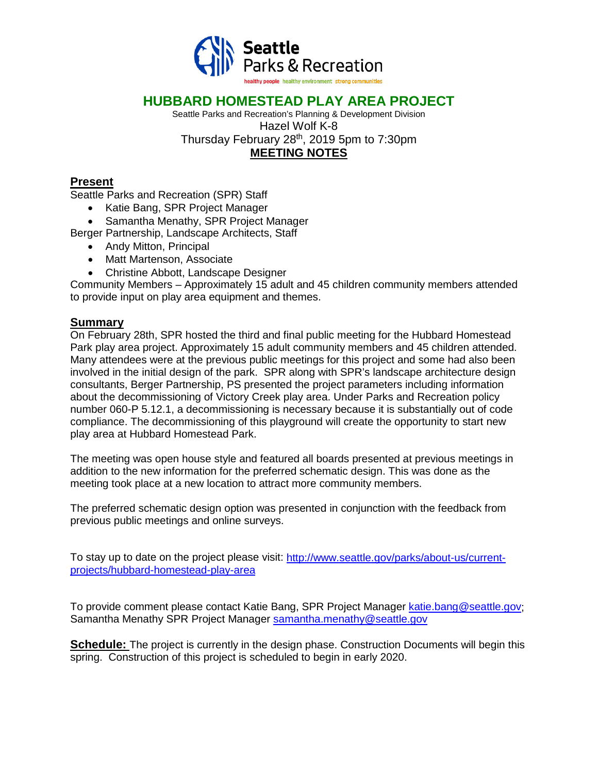

## **HUBBARD HOMESTEAD PLAY AREA PROJECT**

Seattle Parks and Recreation's Planning & Development Division Hazel Wolf K-8 Thursday February 28<sup>th</sup>, 2019 5pm to 7:30pm **MEETING NOTES**

### **Present**

Seattle Parks and Recreation (SPR) Staff

- Katie Bang, SPR Project Manager
- Samantha Menathy, SPR Project Manager

Berger Partnership, Landscape Architects, Staff

- Andy Mitton, Principal
- Matt Martenson, Associate
- Christine Abbott, Landscape Designer

Community Members – Approximately 15 adult and 45 children community members attended to provide input on play area equipment and themes.

#### **Summary**

On February 28th, SPR hosted the third and final public meeting for the Hubbard Homestead Park play area project. Approximately 15 adult community members and 45 children attended. Many attendees were at the previous public meetings for this project and some had also been involved in the initial design of the park. SPR along with SPR's landscape architecture design consultants, Berger Partnership, PS presented the project parameters including information about the decommissioning of Victory Creek play area. Under Parks and Recreation policy number 060-P 5.12.1, a decommissioning is necessary because it is substantially out of code compliance. The decommissioning of this playground will create the opportunity to start new play area at Hubbard Homestead Park.

The meeting was open house style and featured all boards presented at previous meetings in addition to the new information for the preferred schematic design. This was done as the meeting took place at a new location to attract more community members.

The preferred schematic design option was presented in conjunction with the feedback from previous public meetings and online surveys.

To stay up to date on the project please visit: [http://www.seattle.gov/parks/about-us/current](http://www.seattle.gov/parks/about-us/current-projects/hubbard-homestead-play-area)[projects/hubbard-homestead-play-area](http://www.seattle.gov/parks/about-us/current-projects/hubbard-homestead-play-area)

To provide comment please contact Katie Bang, SPR Project Manager [katie.bang@seattle.gov;](mailto:katie.bang@seattle.gov) Samantha Menathy SPR Project Manager [samantha.menathy@seattle.gov](mailto:samantha.menathy@seattle.gov)

**Schedule:** The project is currently in the design phase. Construction Documents will begin this spring. Construction of this project is scheduled to begin in early 2020.